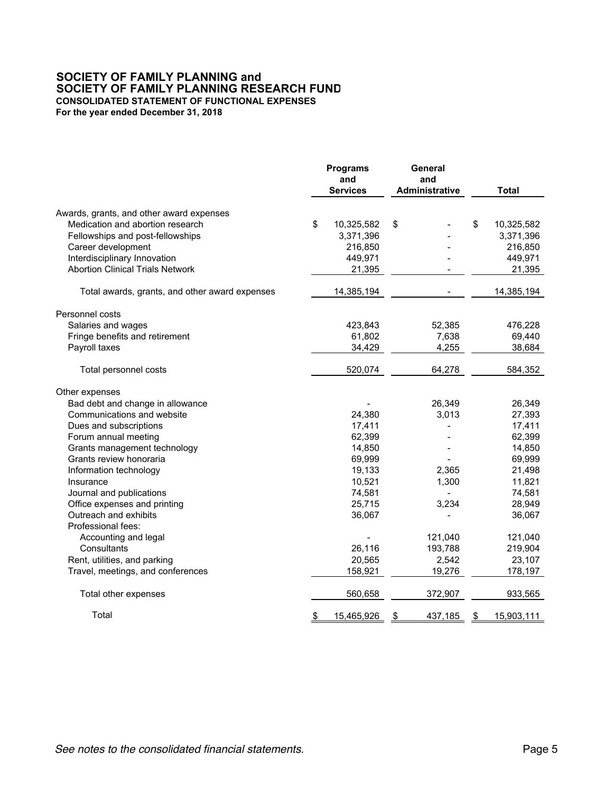## **SOCIETY OF FAMILY PLANNING and SOCIETY OF FAMILY PLANNING RESEARCH FUND CONSOLIDATED STATEMENT OF FUNCTIONAL EXPENSES For the year ended December 31, 2018**

|                                                | <b>Programs</b><br>and<br><b>Services</b> | General<br>and<br><b>Administrative</b> |               | <b>Total</b> |
|------------------------------------------------|-------------------------------------------|-----------------------------------------|---------------|--------------|
| Awards, grants, and other award expenses       |                                           |                                         |               |              |
| Medication and abortion research               | \$<br>10,325,582                          | \$                                      | \$            | 10,325,582   |
| Fellowships and post-fellowships               | 3,371,396                                 |                                         |               | 3,371,396    |
| Career development                             | 216,850                                   |                                         |               | 216,850      |
| Interdisciplinary Innovation                   | 449,971                                   |                                         |               | 449,971      |
| <b>Abortion Clinical Trials Network</b>        | 21,395                                    |                                         |               | 21,395       |
|                                                |                                           |                                         |               |              |
| Total awards, grants, and other award expenses | 14,385,194                                |                                         |               | 14,385,194   |
| Personnel costs                                |                                           |                                         |               |              |
| Salaries and wages                             | 423,843                                   | 52,385                                  |               | 476,228      |
| Fringe benefits and retirement                 | 61,802                                    | 7,638                                   |               | 69,440       |
| Payroll taxes                                  | 34,429                                    | 4,255                                   |               | 38,684       |
| Total personnel costs                          | 520,074                                   | 64,278                                  |               | 584,352      |
| Other expenses                                 |                                           |                                         |               |              |
| Bad debt and change in allowance               |                                           | 26,349                                  |               | 26,349       |
| Communications and website                     | 24,380                                    | 3,013                                   |               | 27,393       |
| Dues and subscriptions                         | 17,411                                    |                                         |               | 17,411       |
| Forum annual meeting                           | 62,399                                    |                                         |               | 62,399       |
| Grants management technology                   | 14,850                                    |                                         |               | 14,850       |
| Grants review honoraria                        | 69,999                                    |                                         |               | 69,999       |
| Information technology                         | 19,133                                    | 2,365                                   |               | 21,498       |
| Insurance                                      | 10,521                                    | 1,300                                   |               | 11,821       |
| Journal and publications                       | 74,581                                    |                                         |               | 74,581       |
| Office expenses and printing                   | 25,715                                    | 3,234                                   |               | 28,949       |
| Outreach and exhibits                          | 36,067                                    |                                         |               | 36,067       |
| Professional fees:                             |                                           |                                         |               |              |
| Accounting and legal                           |                                           | 121,040                                 |               | 121,040      |
| Consultants                                    | 26,116                                    | 193,788                                 |               | 219,904      |
| Rent, utilities, and parking                   | 20,565                                    | 2,542                                   |               | 23,107       |
| Travel, meetings, and conferences              | 158,921                                   | 19,276                                  |               | 178,197      |
|                                                |                                           |                                         |               |              |
| Total other expenses                           | 560,658                                   | 372,907                                 |               | 933,565      |
| Total                                          | \$<br>15,465,926                          | \$<br>437,185                           | $\frac{1}{2}$ | 15,903,111   |